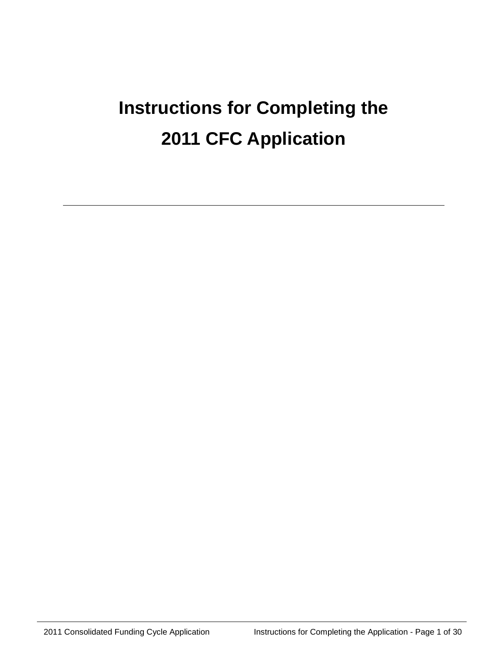# **Instructions for Completing the 2011 CFC Application**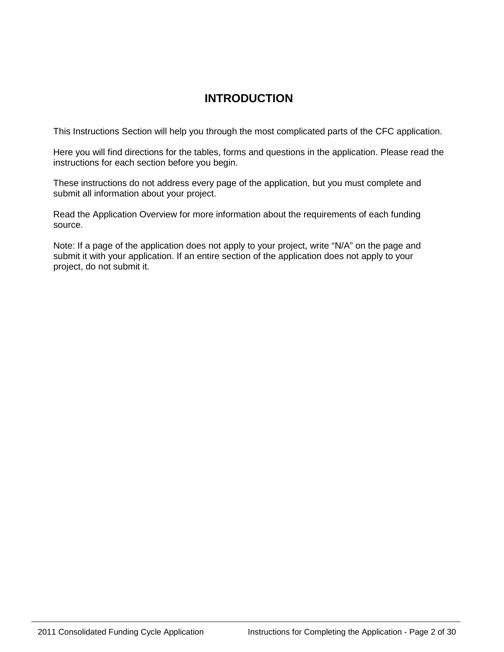# **INTRODUCTION**

This Instructions Section will help you through the most complicated parts of the CFC application.

Here you will find directions for the tables, forms and questions in the application. Please read the instructions for each section before you begin.

These instructions do not address every page of the application, but you must complete and submit all information about your project.

Read the Application Overview for more information about the requirements of each funding source.

Note: If a page of the application does not apply to your project, write "N/A" on the page and submit it with your application. If an entire section of the application does not apply to your project, do not submit it.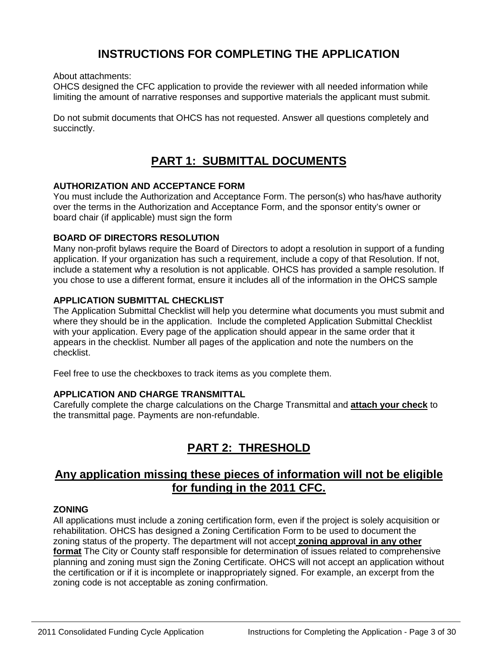# **INSTRUCTIONS FOR COMPLETING THE APPLICATION**

About attachments:

OHCS designed the CFC application to provide the reviewer with all needed information while limiting the amount of narrative responses and supportive materials the applicant must submit.

Do not submit documents that OHCS has not requested. Answer all questions completely and succinctly.

# **PART 1: SUBMITTAL DOCUMENTS**

### **AUTHORIZATION AND ACCEPTANCE FORM**

You must include the Authorization and Acceptance Form. The person(s) who has/have authority over the terms in the Authorization and Acceptance Form, and the sponsor entity's owner or board chair (if applicable) must sign the form

### **BOARD OF DIRECTORS RESOLUTION**

Many non-profit bylaws require the Board of Directors to adopt a resolution in support of a funding application. If your organization has such a requirement, include a copy of that Resolution. If not, include a statement why a resolution is not applicable. OHCS has provided a sample resolution. If you chose to use a different format, ensure it includes all of the information in the OHCS sample

### **APPLICATION SUBMITTAL CHECKLIST**

The Application Submittal Checklist will help you determine what documents you must submit and where they should be in the application. Include the completed Application Submittal Checklist with your application. Every page of the application should appear in the same order that it appears in the checklist. Number all pages of the application and note the numbers on the checklist.

Feel free to use the checkboxes to track items as you complete them.

### **APPLICATION AND CHARGE TRANSMITTAL**

Carefully complete the charge calculations on the Charge Transmittal and **attach your check** to the transmittal page. Payments are non-refundable.

# **PART 2: THRESHOLD**

## **Any application missing these pieces of information will not be eligible for funding in the 2011 CFC.**

### **ZONING**

All applications must include a zoning certification form, even if the project is solely acquisition or rehabilitation. OHCS has designed a Zoning Certification Form to be used to document the zoning status of the property. The department will not accept **zoning approval in any other format** The City or County staff responsible for determination of issues related to comprehensive planning and zoning must sign the Zoning Certificate. OHCS will not accept an application without the certification or if it is incomplete or inappropriately signed. For example, an excerpt from the zoning code is not acceptable as zoning confirmation.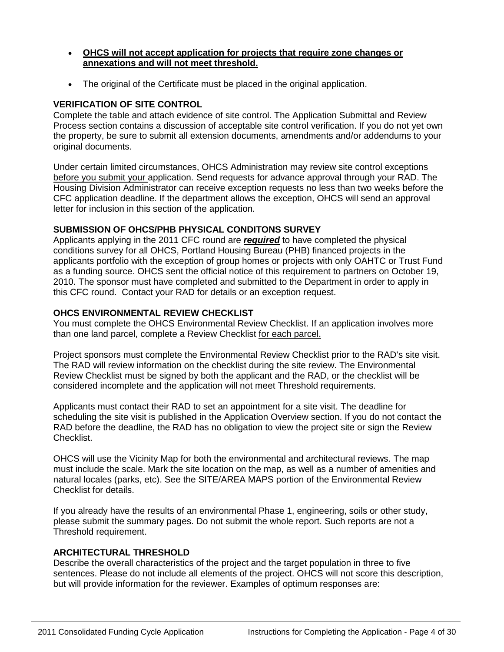- **OHCS will not accept application for projects that require zone changes or annexations and will not meet threshold.**
- The original of the Certificate must be placed in the original application.

### **VERIFICATION OF SITE CONTROL**

Complete the table and attach evidence of site control. The Application Submittal and Review Process section contains a discussion of acceptable site control verification. If you do not yet own the property, be sure to submit all extension documents, amendments and/or addendums to your original documents.

Under certain limited circumstances, OHCS Administration may review site control exceptions before you submit your application. Send requests for advance approval through your RAD. The Housing Division Administrator can receive exception requests no less than two weeks before the CFC application deadline. If the department allows the exception, OHCS will send an approval letter for inclusion in this section of the application.

### **SUBMISSION OF OHCS/PHB PHYSICAL CONDITONS SURVEY**

Applicants applying in the 2011 CFC round are *required* to have completed the physical conditions survey for all OHCS, Portland Housing Bureau (PHB) financed projects in the applicants portfolio with the exception of group homes or projects with only OAHTC or Trust Fund as a funding source. OHCS sent the official notice of this requirement to partners on October 19, 2010. The sponsor must have completed and submitted to the Department in order to apply in this CFC round. Contact your RAD for details or an exception request.

### **OHCS ENVIRONMENTAL REVIEW CHECKLIST**

You must complete the OHCS Environmental Review Checklist. If an application involves more than one land parcel, complete a Review Checklist for each parcel.

Project sponsors must complete the Environmental Review Checklist prior to the RAD's site visit. The RAD will review information on the checklist during the site review. The Environmental Review Checklist must be signed by both the applicant and the RAD, or the checklist will be considered incomplete and the application will not meet Threshold requirements.

Applicants must contact their RAD to set an appointment for a site visit. The deadline for scheduling the site visit is published in the Application Overview section. If you do not contact the RAD before the deadline, the RAD has no obligation to view the project site or sign the Review Checklist.

OHCS will use the Vicinity Map for both the environmental and architectural reviews. The map must include the scale. Mark the site location on the map, as well as a number of amenities and natural locales (parks, etc). See the SITE/AREA MAPS portion of the Environmental Review Checklist for details.

If you already have the results of an environmental Phase 1, engineering, soils or other study, please submit the summary pages. Do not submit the whole report. Such reports are not a Threshold requirement.

### **ARCHITECTURAL THRESHOLD**

Describe the overall characteristics of the project and the target population in three to five sentences. Please do not include all elements of the project. OHCS will not score this description, but will provide information for the reviewer. Examples of optimum responses are: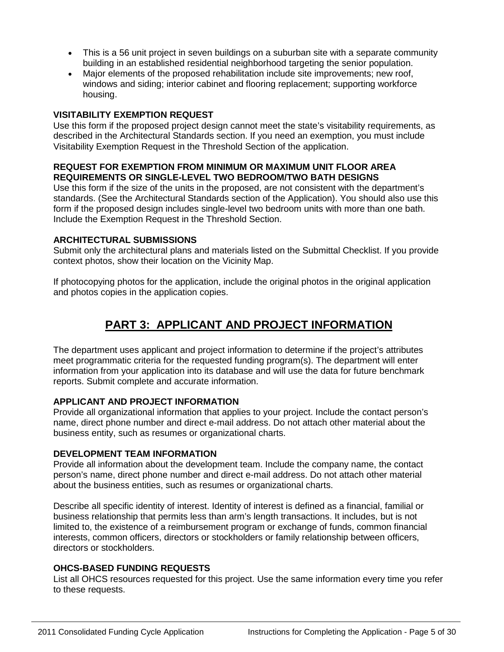- This is a 56 unit project in seven buildings on a suburban site with a separate community building in an established residential neighborhood targeting the senior population.
- Major elements of the proposed rehabilitation include site improvements; new roof, windows and siding; interior cabinet and flooring replacement; supporting workforce housing.

### **VISITABILITY EXEMPTION REQUEST**

Use this form if the proposed project design cannot meet the state's visitability requirements, as described in the Architectural Standards section. If you need an exemption, you must include Visitability Exemption Request in the Threshold Section of the application.

### **REQUEST FOR EXEMPTION FROM MINIMUM OR MAXIMUM UNIT FLOOR AREA REQUIREMENTS OR SINGLE-LEVEL TWO BEDROOM/TWO BATH DESIGNS**

Use this form if the size of the units in the proposed, are not consistent with the department's standards. (See the Architectural Standards section of the Application). You should also use this form if the proposed design includes single-level two bedroom units with more than one bath. Include the Exemption Request in the Threshold Section.

### **ARCHITECTURAL SUBMISSIONS**

Submit only the architectural plans and materials listed on the Submittal Checklist. If you provide context photos, show their location on the Vicinity Map.

If photocopying photos for the application, include the original photos in the original application and photos copies in the application copies.

# **PART 3: APPLICANT AND PROJECT INFORMATION**

The department uses applicant and project information to determine if the project's attributes meet programmatic criteria for the requested funding program(s). The department will enter information from your application into its database and will use the data for future benchmark reports. Submit complete and accurate information.

### **APPLICANT AND PROJECT INFORMATION**

Provide all organizational information that applies to your project. Include the contact person's name, direct phone number and direct e-mail address. Do not attach other material about the business entity, such as resumes or organizational charts.

### **DEVELOPMENT TEAM INFORMATION**

Provide all information about the development team. Include the company name, the contact person's name, direct phone number and direct e-mail address. Do not attach other material about the business entities, such as resumes or organizational charts.

Describe all specific identity of interest. Identity of interest is defined as a financial, familial or business relationship that permits less than arm's length transactions. It includes, but is not limited to, the existence of a reimbursement program or exchange of funds, common financial interests, common officers, directors or stockholders or family relationship between officers, directors or stockholders.

### **OHCS-BASED FUNDING REQUESTS**

List all OHCS resources requested for this project. Use the same information every time you refer to these requests.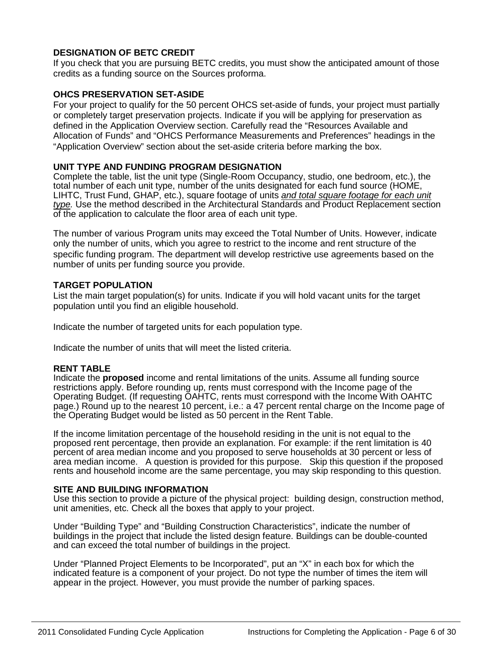### **DESIGNATION OF BETC CREDIT**

If you check that you are pursuing BETC credits, you must show the anticipated amount of those credits as a funding source on the Sources proforma.

### **OHCS PRESERVATION SET-ASIDE**

For your project to qualify for the 50 percent OHCS set-aside of funds, your project must partially or completely target preservation projects. Indicate if you will be applying for preservation as defined in the Application Overview section. Carefully read the "Resources Available and Allocation of Funds" and "OHCS Performance Measurements and Preferences" headings in the "Application Overview" section about the set-aside criteria before marking the box.

### **UNIT TYPE AND FUNDING PROGRAM DESIGNATION**

Complete the table, list the unit type (Single-Room Occupancy, studio, one bedroom, etc.), the total number of each unit type, number of the units designated for each fund source (HOME, LIHTC, Trust Fund, GHAP, etc.), square footage of units *and total square footage for each unit type.* Use the method described in the Architectural Standards and Product Replacement section of the application to calculate the floor area of each unit type.

The number of various Program units may exceed the Total Number of Units. However, indicate only the number of units, which you agree to restrict to the income and rent structure of the specific funding program. The department will develop restrictive use agreements based on the number of units per funding source you provide.

### **TARGET POPULATION**

List the main target population(s) for units. Indicate if you will hold vacant units for the target population until you find an eligible household.

Indicate the number of targeted units for each population type.

Indicate the number of units that will meet the listed criteria.

### **RENT TABLE**

Indicate the **proposed** income and rental limitations of the units. Assume all funding source restrictions apply. Before rounding up, rents must correspond with the Income page of the Operating Budget. (If requesting OAHTC, rents must correspond with the Income With OAHTC page.) Round up to the nearest 10 percent, i.e.: a 47 percent rental charge on the Income page of the Operating Budget would be listed as 50 percent in the Rent Table.

If the income limitation percentage of the household residing in the unit is not equal to the proposed rent percentage, then provide an explanation. For example: if the rent limitation is 40 percent of area median income and you proposed to serve households at 30 percent or less of area median income. A question is provided for this purpose. Skip this question if the proposed rents and household income are the same percentage, you may skip responding to this question.

### **SITE AND BUILDING INFORMATION**

Use this section to provide a picture of the physical project: building design, construction method, unit amenities, etc. Check all the boxes that apply to your project.

Under "Building Type" and "Building Construction Characteristics", indicate the number of buildings in the project that include the listed design feature. Buildings can be double-counted and can exceed the total number of buildings in the project.

Under "Planned Project Elements to be Incorporated", put an "X" in each box for which the indicated feature is a component of your project. Do not type the number of times the item will appear in the project. However, you must provide the number of parking spaces.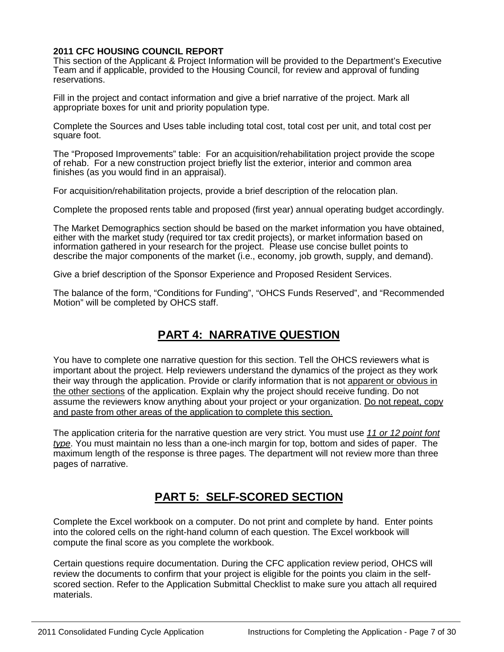### **2011 CFC HOUSING COUNCIL REPORT**

This section of the Applicant & Project Information will be provided to the Department's Executive Team and if applicable, provided to the Housing Council, for review and approval of funding reservations.

Fill in the project and contact information and give a brief narrative of the project. Mark all appropriate boxes for unit and priority population type.

Complete the Sources and Uses table including total cost, total cost per unit, and total cost per square foot.

The "Proposed Improvements" table: For an acquisition/rehabilitation project provide the scope of rehab. For a new construction project briefly list the exterior, interior and common area finishes (as you would find in an appraisal).

For acquisition/rehabilitation projects, provide a brief description of the relocation plan.

Complete the proposed rents table and proposed (first year) annual operating budget accordingly.

The Market Demographics section should be based on the market information you have obtained, either with the market study (required tor tax credit projects), or market information based on information gathered in your research for the project. Please use concise bullet points to describe the major components of the market (i.e., economy, job growth, supply, and demand).

Give a brief description of the Sponsor Experience and Proposed Resident Services.

The balance of the form, "Conditions for Funding", "OHCS Funds Reserved", and "Recommended Motion" will be completed by OHCS staff.

# **PART 4: NARRATIVE QUESTION**

You have to complete one narrative question for this section. Tell the OHCS reviewers what is important about the project. Help reviewers understand the dynamics of the project as they work their way through the application. Provide or clarify information that is not apparent or obvious in the other sections of the application. Explain why the project should receive funding. Do not assume the reviewers know anything about your project or your organization. Do not repeat, copy and paste from other areas of the application to complete this section.

The application criteria for the narrative question are very strict. You must use *11 or 12 point font type*. You must maintain no less than a one-inch margin for top, bottom and sides of paper. The maximum length of the response is three pages. The department will not review more than three pages of narrative.

# **PART 5: SELF-SCORED SECTION**

Complete the Excel workbook on a computer. Do not print and complete by hand. Enter points into the colored cells on the right-hand column of each question. The Excel workbook will compute the final score as you complete the workbook.

Certain questions require documentation. During the CFC application review period, OHCS will review the documents to confirm that your project is eligible for the points you claim in the selfscored section. Refer to the Application Submittal Checklist to make sure you attach all required materials.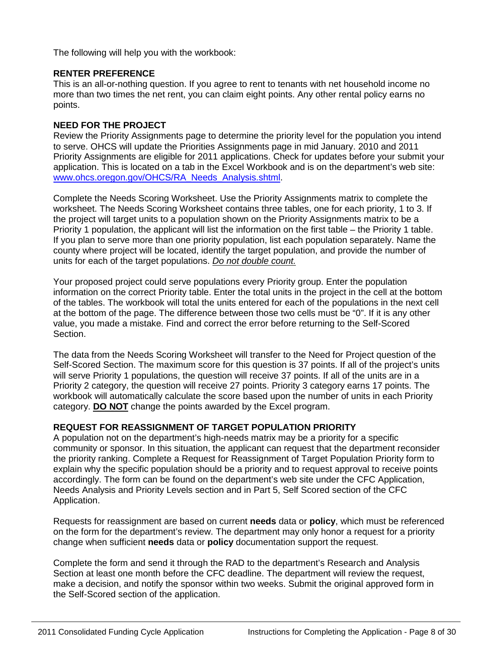The following will help you with the workbook:

### **RENTER PREFERENCE**

This is an all-or-nothing question. If you agree to rent to tenants with net household income no more than two times the net rent, you can claim eight points. Any other rental policy earns no points.

### **NEED FOR THE PROJECT**

Review the Priority Assignments page to determine the priority level for the population you intend to serve. OHCS will update the Priorities Assignments page in mid January. 2010 and 2011 Priority Assignments are eligible for 2011 applications. Check for updates before your submit your application. This is located on a tab in the Excel Workbook and is on the department's web site: [www.ohcs.oregon.gov/OHCS/RA\\_Needs\\_Analysis.shtml.](http://www.ohcs.oregon.gov/OHCS/RA_Needs_Analysis.shtml)

Complete the Needs Scoring Worksheet. Use the Priority Assignments matrix to complete the worksheet. The Needs Scoring Worksheet contains three tables, one for each priority, 1 to 3. If the project will target units to a population shown on the Priority Assignments matrix to be a Priority 1 population, the applicant will list the information on the first table – the Priority 1 table. If you plan to serve more than one priority population, list each population separately. Name the county where project will be located, identify the target population, and provide the number of units for each of the target populations. *Do not double count.*

Your proposed project could serve populations every Priority group. Enter the population information on the correct Priority table. Enter the total units in the project in the cell at the bottom of the tables. The workbook will total the units entered for each of the populations in the next cell at the bottom of the page. The difference between those two cells must be "0". If it is any other value, you made a mistake. Find and correct the error before returning to the Self-Scored Section.

The data from the Needs Scoring Worksheet will transfer to the Need for Project question of the Self-Scored Section. The maximum score for this question is 37 points. If all of the project's units will serve Priority 1 populations, the question will receive 37 points. If all of the units are in a Priority 2 category, the question will receive 27 points. Priority 3 category earns 17 points. The workbook will automatically calculate the score based upon the number of units in each Priority category. **DO NOT** change the points awarded by the Excel program.

### **REQUEST FOR REASSIGNMENT OF TARGET POPULATION PRIORITY**

A population not on the department's high-needs matrix may be a priority for a specific community or sponsor. In this situation, the applicant can request that the department reconsider the priority ranking. Complete a Request for Reassignment of Target Population Priority form to explain why the specific population should be a priority and to request approval to receive points accordingly. The form can be found on the department's web site under the CFC Application, Needs Analysis and Priority Levels section and in Part 5, Self Scored section of the CFC Application.

Requests for reassignment are based on current **needs** data or **policy**, which must be referenced on the form for the department's review. The department may only honor a request for a priority change when sufficient **needs** data or **policy** documentation support the request.

Complete the form and send it through the RAD to the department's Research and Analysis Section at least one month before the CFC deadline. The department will review the request, make a decision, and notify the sponsor within two weeks. Submit the original approved form in the Self-Scored section of the application.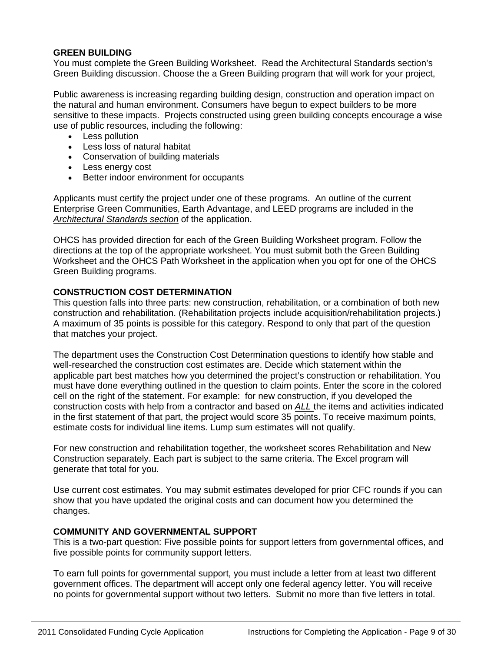### **GREEN BUILDING**

You must complete the Green Building Worksheet. Read the Architectural Standards section's Green Building discussion. Choose the a Green Building program that will work for your project,

Public awareness is increasing regarding building design, construction and operation impact on the natural and human environment. Consumers have begun to expect builders to be more sensitive to these impacts. Projects constructed using green building concepts encourage a wise use of public resources, including the following:

- Less pollution
- Less loss of natural habitat
- Conservation of building materials
- Less energy cost
- Better indoor environment for occupants

Applicants must certify the project under one of these programs. An outline of the current Enterprise Green Communities, Earth Advantage, and LEED programs are included in the *Architectural Standards section* of the application.

OHCS has provided direction for each of the Green Building Worksheet program. Follow the directions at the top of the appropriate worksheet. You must submit both the Green Building Worksheet and the OHCS Path Worksheet in the application when you opt for one of the OHCS Green Building programs.

### **CONSTRUCTION COST DETERMINATION**

This question falls into three parts: new construction, rehabilitation, or a combination of both new construction and rehabilitation. (Rehabilitation projects include acquisition/rehabilitation projects.) A maximum of 35 points is possible for this category. Respond to only that part of the question that matches your project.

The department uses the Construction Cost Determination questions to identify how stable and well-researched the construction cost estimates are. Decide which statement within the applicable part best matches how you determined the project's construction or rehabilitation. You must have done everything outlined in the question to claim points. Enter the score in the colored cell on the right of the statement. For example: for new construction, if you developed the construction costs with help from a contractor and based on *ALL* the items and activities indicated in the first statement of that part, the project would score 35 points. To receive maximum points, estimate costs for individual line items. Lump sum estimates will not qualify.

For new construction and rehabilitation together, the worksheet scores Rehabilitation and New Construction separately. Each part is subject to the same criteria. The Excel program will generate that total for you.

Use current cost estimates. You may submit estimates developed for prior CFC rounds if you can show that you have updated the original costs and can document how you determined the changes.

### **COMMUNITY AND GOVERNMENTAL SUPPORT**

This is a two-part question: Five possible points for support letters from governmental offices, and five possible points for community support letters.

To earn full points for governmental support, you must include a letter from at least two different government offices. The department will accept only one federal agency letter. You will receive no points for governmental support without two letters. Submit no more than five letters in total.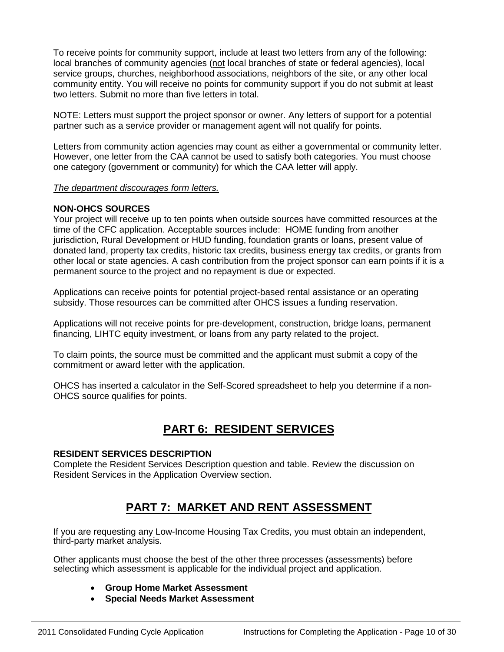To receive points for community support, include at least two letters from any of the following: local branches of community agencies (not local branches of state or federal agencies), local service groups, churches, neighborhood associations, neighbors of the site, or any other local community entity. You will receive no points for community support if you do not submit at least two letters. Submit no more than five letters in total.

NOTE: Letters must support the project sponsor or owner. Any letters of support for a potential partner such as a service provider or management agent will not qualify for points.

Letters from community action agencies may count as either a governmental or community letter. However, one letter from the CAA cannot be used to satisfy both categories. You must choose one category (government or community) for which the CAA letter will apply.

#### *The department discourages form letters.*

### **NON-OHCS SOURCES**

Your project will receive up to ten points when outside sources have committed resources at the time of the CFC application. Acceptable sources include: HOME funding from another jurisdiction, Rural Development or HUD funding, foundation grants or loans, present value of donated land, property tax credits, historic tax credits, business energy tax credits, or grants from other local or state agencies. A cash contribution from the project sponsor can earn points if it is a permanent source to the project and no repayment is due or expected.

Applications can receive points for potential project-based rental assistance or an operating subsidy. Those resources can be committed after OHCS issues a funding reservation.

Applications will not receive points for pre-development, construction, bridge loans, permanent financing, LIHTC equity investment, or loans from any party related to the project.

To claim points, the source must be committed and the applicant must submit a copy of the commitment or award letter with the application.

OHCS has inserted a calculator in the Self-Scored spreadsheet to help you determine if a non-OHCS source qualifies for points.

# **PART 6: RESIDENT SERVICES**

#### **RESIDENT SERVICES DESCRIPTION**

Complete the Resident Services Description question and table. Review the discussion on Resident Services in the Application Overview section.

# **PART 7: MARKET AND RENT ASSESSMENT**

If you are requesting any Low-Income Housing Tax Credits, you must obtain an independent, third-party market analysis.

Other applicants must choose the best of the other three processes (assessments) before selecting which assessment is applicable for the individual project and application.

- **Group Home Market Assessment**
- **Special Needs Market Assessment**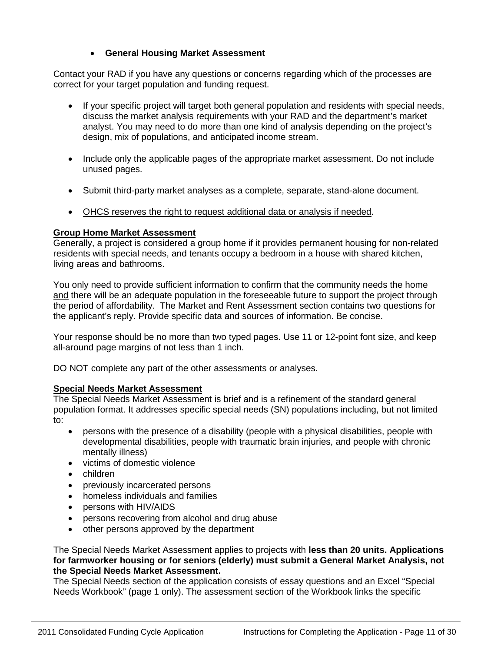### • **General Housing Market Assessment**

Contact your RAD if you have any questions or concerns regarding which of the processes are correct for your target population and funding request.

- If your specific project will target both general population and residents with special needs, discuss the market analysis requirements with your RAD and the department's market analyst. You may need to do more than one kind of analysis depending on the project's design, mix of populations, and anticipated income stream.
- Include only the applicable pages of the appropriate market assessment. Do not include unused pages.
- Submit third-party market analyses as a complete, separate, stand-alone document.
- OHCS reserves the right to request additional data or analysis if needed.

### **Group Home Market Assessment**

Generally, a project is considered a group home if it provides permanent housing for non-related residents with special needs, and tenants occupy a bedroom in a house with shared kitchen, living areas and bathrooms.

You only need to provide sufficient information to confirm that the community needs the home and there will be an adequate population in the foreseeable future to support the project through the period of affordability. The Market and Rent Assessment section contains two questions for the applicant's reply. Provide specific data and sources of information. Be concise.

Your response should be no more than two typed pages. Use 11 or 12-point font size, and keep all-around page margins of not less than 1 inch.

DO NOT complete any part of the other assessments or analyses.

### **Special Needs Market Assessment**

The Special Needs Market Assessment is brief and is a refinement of the standard general population format. It addresses specific special needs (SN) populations including, but not limited to:

- persons with the presence of a disability (people with a physical disabilities, people with developmental disabilities, people with traumatic brain injuries, and people with chronic mentally illness)
- victims of domestic violence
- children
- previously incarcerated persons
- homeless individuals and families
- persons with HIV/AIDS
- persons recovering from alcohol and drug abuse
- other persons approved by the department

The Special Needs Market Assessment applies to projects with **less than 20 units. Applications for farmworker housing or for seniors (elderly) must submit a General Market Analysis, not the Special Needs Market Assessment.** 

The Special Needs section of the application consists of essay questions and an Excel "Special Needs Workbook" (page 1 only). The assessment section of the Workbook links the specific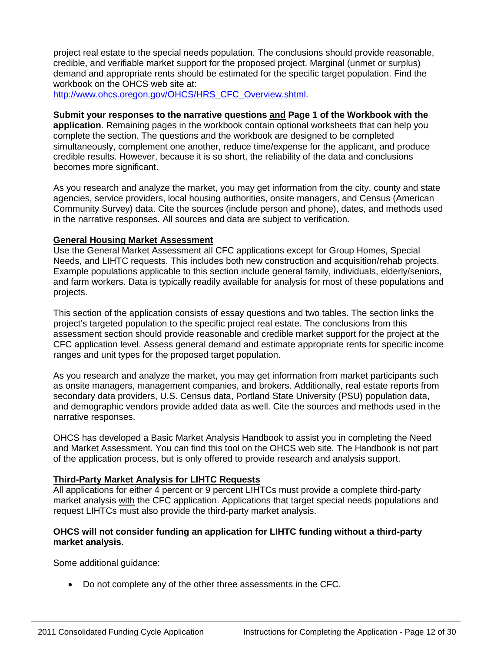project real estate to the special needs population. The conclusions should provide reasonable, credible, and verifiable market support for the proposed project. Marginal (unmet or surplus) demand and appropriate rents should be estimated for the specific target population. Find the workbook on the OHCS web site at:

[http://www.ohcs.oregon.gov/OHCS/HRS\\_CFC\\_Overview.shtml.](http://www.ohcs.oregon.gov/OHCS/HRS_CFC_Overview.shtml)

### **Submit your responses to the narrative questions and Page 1 of the Workbook with the**

**application**. Remaining pages in the workbook contain optional worksheets that can help you complete the section. The questions and the workbook are designed to be completed simultaneously, complement one another, reduce time/expense for the applicant, and produce credible results. However, because it is so short, the reliability of the data and conclusions becomes more significant.

As you research and analyze the market, you may get information from the city, county and state agencies, service providers, local housing authorities, onsite managers, and Census (American Community Survey) data. Cite the sources (include person and phone), dates, and methods used in the narrative responses. All sources and data are subject to verification.

#### **General Housing Market Assessment**

Use the General Market Assessment all CFC applications except for Group Homes, Special Needs, and LIHTC requests. This includes both new construction and acquisition/rehab projects. Example populations applicable to this section include general family, individuals, elderly/seniors, and farm workers. Data is typically readily available for analysis for most of these populations and projects.

This section of the application consists of essay questions and two tables. The section links the project's targeted population to the specific project real estate. The conclusions from this assessment section should provide reasonable and credible market support for the project at the CFC application level. Assess general demand and estimate appropriate rents for specific income ranges and unit types for the proposed target population.

As you research and analyze the market, you may get information from market participants such as onsite managers, management companies, and brokers. Additionally, real estate reports from secondary data providers, U.S. Census data, Portland State University (PSU) population data, and demographic vendors provide added data as well. Cite the sources and methods used in the narrative responses.

OHCS has developed a Basic Market Analysis Handbook to assist you in completing the Need and Market Assessment. You can find this tool on the OHCS web site. The Handbook is not part of the application process, but is only offered to provide research and analysis support.

### **Third-Party Market Analysis for LIHTC Requests**

All applications for either 4 percent or 9 percent LIHTCs must provide a complete third-party market analysis with the CFC application. Applications that target special needs populations and request LIHTCs must also provide the third-party market analysis.

### **OHCS will not consider funding an application for LIHTC funding without a third-party market analysis.**

Some additional guidance:

• Do not complete any of the other three assessments in the CFC.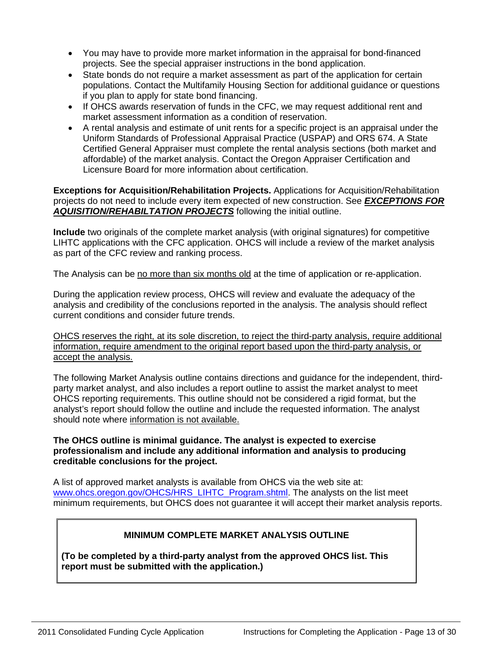- You may have to provide more market information in the appraisal for bond-financed projects. See the special appraiser instructions in the bond application.
- State bonds do not require a market assessment as part of the application for certain populations. Contact the Multifamily Housing Section for additional guidance or questions if you plan to apply for state bond financing.
- If OHCS awards reservation of funds in the CFC, we may request additional rent and market assessment information as a condition of reservation.
- A rental analysis and estimate of unit rents for a specific project is an appraisal under the Uniform Standards of Professional Appraisal Practice (USPAP) and ORS 674. A State Certified General Appraiser must complete the rental analysis sections (both market and affordable) of the market analysis. Contact the Oregon Appraiser Certification and Licensure Board for more information about certification.

**Exceptions for Acquisition/Rehabilitation Projects.** Applications for Acquisition/Rehabilitation projects do not need to include every item expected of new construction. See *EXCEPTIONS FOR AQUISITION/REHABILTATION PROJECTS* following the initial outline.

**Include** two originals of the complete market analysis (with original signatures) for competitive LIHTC applications with the CFC application. OHCS will include a review of the market analysis as part of the CFC review and ranking process.

The Analysis can be no more than six months old at the time of application or re-application.

During the application review process, OHCS will review and evaluate the adequacy of the analysis and credibility of the conclusions reported in the analysis. The analysis should reflect current conditions and consider future trends.

OHCS reserves the right, at its sole discretion, to reject the third-party analysis, require additional information, require amendment to the original report based upon the third-party analysis, or accept the analysis.

The following Market Analysis outline contains directions and guidance for the independent, thirdparty market analyst, and also includes a report outline to assist the market analyst to meet OHCS reporting requirements. This outline should not be considered a rigid format, but the analyst's report should follow the outline and include the requested information. The analyst should note where information is not available.

### **The OHCS outline is minimal guidance. The analyst is expected to exercise professionalism and include any additional information and analysis to producing creditable conclusions for the project.**

A list of approved market analysts is available from OHCS via the web site at: [www.ohcs.oregon.gov/OHCS/HRS\\_LIHTC\\_Program.shtml.](http://www.ohcs.oregon.gov/OHCS/HRS_LIHTC_Program.shtml) The analysts on the list meet minimum requirements, but OHCS does not guarantee it will accept their market analysis reports.

### **MINIMUM COMPLETE MARKET ANALYSIS OUTLINE**

**(To be completed by a third-party analyst from the approved OHCS list. This report must be submitted with the application.)**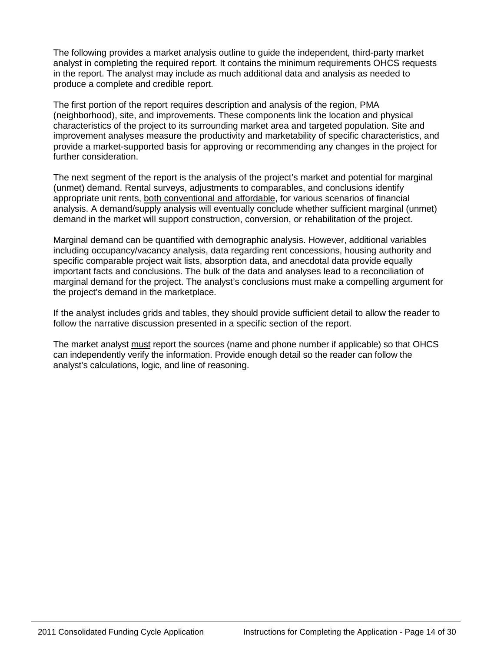The following provides a market analysis outline to guide the independent, third-party market analyst in completing the required report. It contains the minimum requirements OHCS requests in the report. The analyst may include as much additional data and analysis as needed to produce a complete and credible report.

The first portion of the report requires description and analysis of the region, PMA (neighborhood), site, and improvements. These components link the location and physical characteristics of the project to its surrounding market area and targeted population. Site and improvement analyses measure the productivity and marketability of specific characteristics, and provide a market-supported basis for approving or recommending any changes in the project for further consideration.

The next segment of the report is the analysis of the project's market and potential for marginal (unmet) demand. Rental surveys, adjustments to comparables, and conclusions identify appropriate unit rents, both conventional and affordable, for various scenarios of financial analysis. A demand/supply analysis will eventually conclude whether sufficient marginal (unmet) demand in the market will support construction, conversion, or rehabilitation of the project.

Marginal demand can be quantified with demographic analysis. However, additional variables including occupancy/vacancy analysis, data regarding rent concessions, housing authority and specific comparable project wait lists, absorption data, and anecdotal data provide equally important facts and conclusions. The bulk of the data and analyses lead to a reconciliation of marginal demand for the project. The analyst's conclusions must make a compelling argument for the project's demand in the marketplace.

If the analyst includes grids and tables, they should provide sufficient detail to allow the reader to follow the narrative discussion presented in a specific section of the report.

The market analyst must report the sources (name and phone number if applicable) so that OHCS can independently verify the information. Provide enough detail so the reader can follow the analyst's calculations, logic, and line of reasoning.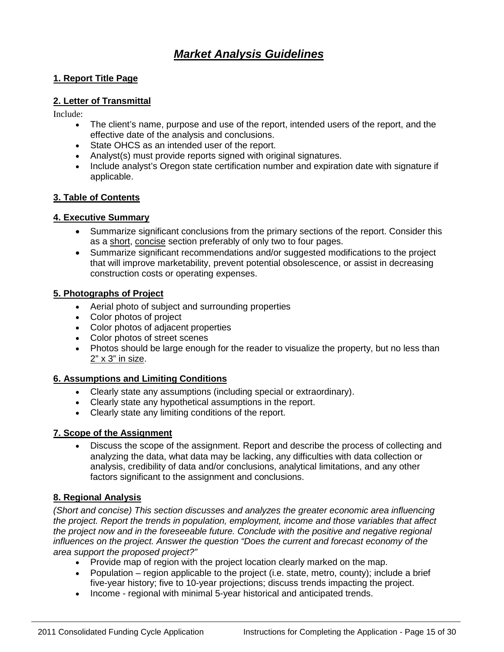# *Market Analysis Guidelines*

### **1. Report Title Page**

### **2. Letter of Transmittal**

Include:

- The client's name, purpose and use of the report, intended users of the report, and the effective date of the analysis and conclusions.
- State OHCS as an intended user of the report.
- Analyst(s) must provide reports signed with original signatures.
- Include analyst's Oregon state certification number and expiration date with signature if applicable.

### **3. Table of Contents**

### **4. Executive Summary**

- Summarize significant conclusions from the primary sections of the report. Consider this as a short, concise section preferably of only two to four pages.
- Summarize significant recommendations and/or suggested modifications to the project that will improve marketability, prevent potential obsolescence, or assist in decreasing construction costs or operating expenses.

### **5. Photographs of Project**

- Aerial photo of subject and surrounding properties
- Color photos of project
- Color photos of adjacent properties
- Color photos of street scenes
- Photos should be large enough for the reader to visualize the property, but no less than  $2" \times 3"$  in size.

### **6. Assumptions and Limiting Conditions**

- Clearly state any assumptions (including special or extraordinary).
- Clearly state any hypothetical assumptions in the report.
- Clearly state any limiting conditions of the report.

### **7. Scope of the Assignment**

• Discuss the scope of the assignment. Report and describe the process of collecting and analyzing the data, what data may be lacking, any difficulties with data collection or analysis, credibility of data and/or conclusions, analytical limitations, and any other factors significant to the assignment and conclusions.

### **8. Regional Analysis**

*(Short and concise) This section discusses and analyzes the greater economic area influencing the project. Report the trends in population, employment, income and those variables that affect the project now and in the foreseeable future. Conclude with the positive and negative regional influences on the project. Answer the question "Does the current and forecast economy of the area support the proposed project?"*

- Provide map of region with the project location clearly marked on the map.
- Population region applicable to the project (i.e. state, metro, county); include a brief five-year history; five to 10-year projections; discuss trends impacting the project.
- Income regional with minimal 5-year historical and anticipated trends.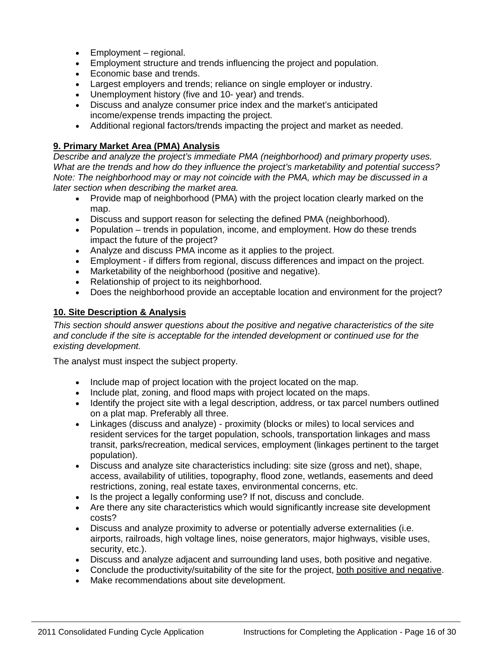- Employment regional.
- Employment structure and trends influencing the project and population.
- Economic base and trends.
- Largest employers and trends; reliance on single employer or industry.
- Unemployment history (five and 10- year) and trends.
- Discuss and analyze consumer price index and the market's anticipated income/expense trends impacting the project.
- Additional regional factors/trends impacting the project and market as needed.

### **9. Primary Market Area (PMA) Analysis**

*Describe and analyze the project's immediate PMA (neighborhood) and primary property uses. What are the trends and how do they influence the project's marketability and potential success? Note: The neighborhood may or may not coincide with the PMA, which may be discussed in a later section when describing the market area.*

- Provide map of neighborhood (PMA) with the project location clearly marked on the map.
- Discuss and support reason for selecting the defined PMA (neighborhood).
- Population trends in population, income, and employment. How do these trends impact the future of the project?
- Analyze and discuss PMA income as it applies to the project.
- Employment if differs from regional, discuss differences and impact on the project.
- Marketability of the neighborhood (positive and negative).
- Relationship of project to its neighborhood.
- Does the neighborhood provide an acceptable location and environment for the project?

### **10. Site Description & Analysis**

*This section should answer questions about the positive and negative characteristics of the site and conclude if the site is acceptable for the intended development or continued use for the existing development.* 

The analyst must inspect the subject property.

- Include map of project location with the project located on the map.
- Include plat, zoning, and flood maps with project located on the maps.
- Identify the project site with a legal description, address, or tax parcel numbers outlined on a plat map. Preferably all three.
- Linkages (discuss and analyze) proximity (blocks or miles) to local services and resident services for the target population, schools, transportation linkages and mass transit, parks/recreation, medical services, employment (linkages pertinent to the target population).
- Discuss and analyze site characteristics including: site size (gross and net), shape, access, availability of utilities, topography, flood zone, wetlands, easements and deed restrictions, zoning, real estate taxes, environmental concerns, etc.
- Is the project a legally conforming use? If not, discuss and conclude.
- Are there any site characteristics which would significantly increase site development costs?
- Discuss and analyze proximity to adverse or potentially adverse externalities (i.e. airports, railroads, high voltage lines, noise generators, major highways, visible uses, security, etc.).
- Discuss and analyze adjacent and surrounding land uses, both positive and negative.
- Conclude the productivity/suitability of the site for the project, both positive and negative.
- Make recommendations about site development.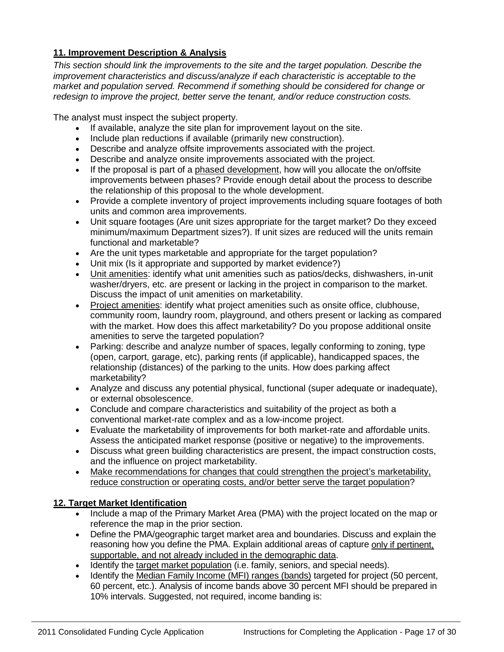### **11. Improvement Description & Analysis**

*This section should link the improvements to the site and the target population. Describe the improvement characteristics and discuss/analyze if each characteristic is acceptable to the market and population served. Recommend if something should be considered for change or redesign to improve the project, better serve the tenant, and/or reduce construction costs.*

The analyst must inspect the subject property.

- If available, analyze the site plan for improvement layout on the site.
- Include plan reductions if available (primarily new construction).
- Describe and analyze offsite improvements associated with the project.
- Describe and analyze onsite improvements associated with the project.
- If the proposal is part of a phased development, how will you allocate the on/offsite improvements between phases? Provide enough detail about the process to describe the relationship of this proposal to the whole development.
- Provide a complete inventory of project improvements including square footages of both units and common area improvements.
- Unit square footages (Are unit sizes appropriate for the target market? Do they exceed minimum/maximum Department sizes?). If unit sizes are reduced will the units remain functional and marketable?
- Are the unit types marketable and appropriate for the target population?
- Unit mix (Is it appropriate and supported by market evidence?)
- Unit amenities: identify what unit amenities such as patios/decks, dishwashers, in-unit washer/dryers, etc. are present or lacking in the project in comparison to the market. Discuss the impact of unit amenities on marketability.
- Project amenities: identify what project amenities such as onsite office, clubhouse, community room, laundry room, playground, and others present or lacking as compared with the market. How does this affect marketability? Do you propose additional onsite amenities to serve the targeted population?
- Parking: describe and analyze number of spaces, legally conforming to zoning, type (open, carport, garage, etc), parking rents (if applicable), handicapped spaces, the relationship (distances) of the parking to the units. How does parking affect marketability?
- Analyze and discuss any potential physical, functional (super adequate or inadequate), or external obsolescence.
- Conclude and compare characteristics and suitability of the project as both a conventional market-rate complex and as a low-income project.
- Evaluate the marketability of improvements for both market-rate and affordable units. Assess the anticipated market response (positive or negative) to the improvements.
- Discuss what green building characteristics are present, the impact construction costs, and the influence on project marketability.
- Make recommendations for changes that could strengthen the project's marketability, reduce construction or operating costs, and/or better serve the target population?

### **12. Target Market Identification**

- Include a map of the Primary Market Area (PMA) with the project located on the map or reference the map in the prior section.
- Define the PMA/geographic target market area and boundaries. Discuss and explain the reasoning how you define the PMA. Explain additional areas of capture only if pertinent, supportable, and not already included in the demographic data.
- Identify the target market population (i.e. family, seniors, and special needs).
- Identify the Median Family Income (MFI) ranges (bands) targeted for project (50 percent, 60 percent, etc.). Analysis of income bands above 30 percent MFI should be prepared in 10% intervals. Suggested, not required, income banding is: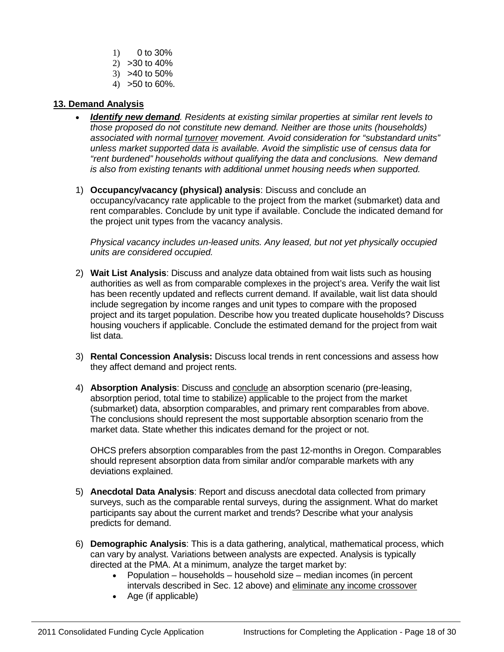- $1)$  0 to 30%
- 2) >30 to 40%
- 3) >40 to 50%
- 4) >50 to 60%.

### **13. Demand Analysis**

- *Identify new demand. Residents at existing similar properties at similar rent levels to those proposed do not constitute new demand. Neither are those units (households) associated with normal turnover movement. Avoid consideration for "substandard units" unless market supported data is available. Avoid the simplistic use of census data for "rent burdened" households without qualifying the data and conclusions. New demand is also from existing tenants with additional unmet housing needs when supported.*
- 1) **Occupancy/vacancy (physical) analysis**: Discuss and conclude an occupancy/vacancy rate applicable to the project from the market (submarket) data and rent comparables. Conclude by unit type if available. Conclude the indicated demand for the project unit types from the vacancy analysis.

*Physical vacancy includes un-leased units. Any leased, but not yet physically occupied units are considered occupied.*

- 2) **Wait List Analysis**: Discuss and analyze data obtained from wait lists such as housing authorities as well as from comparable complexes in the project's area. Verify the wait list has been recently updated and reflects current demand. If available, wait list data should include segregation by income ranges and unit types to compare with the proposed project and its target population. Describe how you treated duplicate households? Discuss housing vouchers if applicable. Conclude the estimated demand for the project from wait list data.
- 3) **Rental Concession Analysis:** Discuss local trends in rent concessions and assess how they affect demand and project rents.
- 4) **Absorption Analysis**: Discuss and conclude an absorption scenario (pre-leasing, absorption period, total time to stabilize) applicable to the project from the market (submarket) data, absorption comparables, and primary rent comparables from above. The conclusions should represent the most supportable absorption scenario from the market data. State whether this indicates demand for the project or not.

OHCS prefers absorption comparables from the past 12-months in Oregon. Comparables should represent absorption data from similar and/or comparable markets with any deviations explained.

- 5) **Anecdotal Data Analysis**: Report and discuss anecdotal data collected from primary surveys, such as the comparable rental surveys, during the assignment. What do market participants say about the current market and trends? Describe what your analysis predicts for demand.
- 6) **Demographic Analysis**: This is a data gathering, analytical, mathematical process, which can vary by analyst. Variations between analysts are expected. Analysis is typically directed at the PMA. At a minimum, analyze the target market by:
	- Population households household size median incomes (in percent intervals described in Sec. 12 above) and eliminate any income crossover
	- Age (if applicable)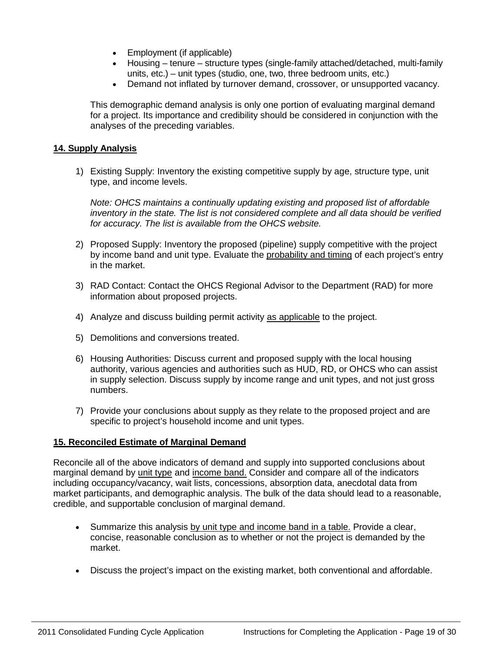- Employment (if applicable)
- Housing tenure structure types (single-family attached/detached, multi-family units, etc.) – unit types (studio, one, two, three bedroom units, etc.)
- Demand not inflated by turnover demand, crossover, or unsupported vacancy.

This demographic demand analysis is only one portion of evaluating marginal demand for a project. Its importance and credibility should be considered in conjunction with the analyses of the preceding variables.

### **14. Supply Analysis**

1) Existing Supply: Inventory the existing competitive supply by age, structure type, unit type, and income levels.

*Note: OHCS maintains a continually updating existing and proposed list of affordable inventory in the state. The list is not considered complete and all data should be verified for accuracy. The list is available from the OHCS website.* 

- 2) Proposed Supply: Inventory the proposed (pipeline) supply competitive with the project by income band and unit type. Evaluate the probability and timing of each project's entry in the market.
- 3) RAD Contact: Contact the OHCS Regional Advisor to the Department (RAD) for more information about proposed projects.
- 4) Analyze and discuss building permit activity as applicable to the project.
- 5) Demolitions and conversions treated.
- 6) Housing Authorities: Discuss current and proposed supply with the local housing authority, various agencies and authorities such as HUD, RD, or OHCS who can assist in supply selection. Discuss supply by income range and unit types, and not just gross numbers.
- 7) Provide your conclusions about supply as they relate to the proposed project and are specific to project's household income and unit types.

### **15. Reconciled Estimate of Marginal Demand**

Reconcile all of the above indicators of demand and supply into supported conclusions about marginal demand by unit type and income band. Consider and compare all of the indicators including occupancy/vacancy, wait lists, concessions, absorption data, anecdotal data from market participants, and demographic analysis. The bulk of the data should lead to a reasonable, credible, and supportable conclusion of marginal demand.

- Summarize this analysis by unit type and income band in a table. Provide a clear, concise, reasonable conclusion as to whether or not the project is demanded by the market.
- Discuss the project's impact on the existing market, both conventional and affordable.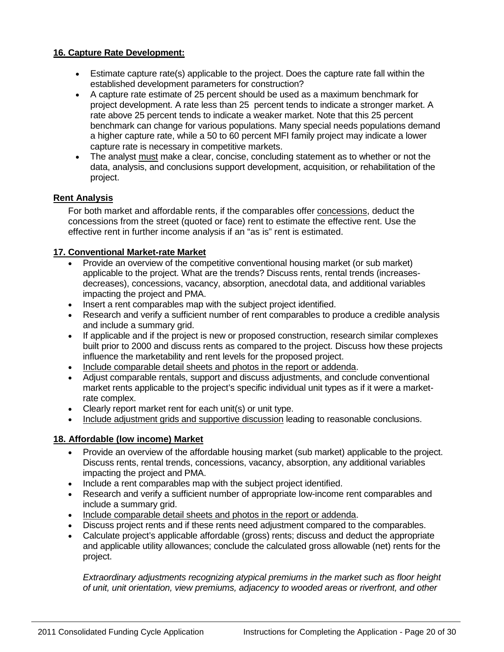### **16. Capture Rate Development:**

- Estimate capture rate(s) applicable to the project. Does the capture rate fall within the established development parameters for construction?
- A capture rate estimate of 25 percent should be used as a maximum benchmark for project development. A rate less than 25 percent tends to indicate a stronger market. A rate above 25 percent tends to indicate a weaker market. Note that this 25 percent benchmark can change for various populations. Many special needs populations demand a higher capture rate, while a 50 to 60 percent MFI family project may indicate a lower capture rate is necessary in competitive markets.
- The analyst must make a clear, concise, concluding statement as to whether or not the data, analysis, and conclusions support development, acquisition, or rehabilitation of the project.

### **Rent Analysis**

For both market and affordable rents, if the comparables offer concessions, deduct the concessions from the street (quoted or face) rent to estimate the effective rent. Use the effective rent in further income analysis if an "as is" rent is estimated.

### **17. Conventional Market-rate Market**

- Provide an overview of the competitive conventional housing market (or sub market) applicable to the project. What are the trends? Discuss rents, rental trends (increasesdecreases), concessions, vacancy, absorption, anecdotal data, and additional variables impacting the project and PMA.
- Insert a rent comparables map with the subject project identified.
- Research and verify a sufficient number of rent comparables to produce a credible analysis and include a summary grid.
- If applicable and if the project is new or proposed construction, research similar complexes built prior to 2000 and discuss rents as compared to the project. Discuss how these projects influence the marketability and rent levels for the proposed project.
- Include comparable detail sheets and photos in the report or addenda.
- Adjust comparable rentals, support and discuss adjustments, and conclude conventional market rents applicable to the project's specific individual unit types as if it were a marketrate complex.
- Clearly report market rent for each unit(s) or unit type.
- Include adjustment grids and supportive discussion leading to reasonable conclusions.

### **18. Affordable (low income) Market**

- Provide an overview of the affordable housing market (sub market) applicable to the project. Discuss rents, rental trends, concessions, vacancy, absorption, any additional variables impacting the project and PMA.
- Include a rent comparables map with the subject project identified.
- Research and verify a sufficient number of appropriate low-income rent comparables and include a summary grid.
- Include comparable detail sheets and photos in the report or addenda.
- Discuss project rents and if these rents need adjustment compared to the comparables.
- Calculate project's applicable affordable (gross) rents; discuss and deduct the appropriate and applicable utility allowances; conclude the calculated gross allowable (net) rents for the project.

*Extraordinary adjustments recognizing atypical premiums in the market such as floor height of unit, unit orientation, view premiums, adjacency to wooded areas or riverfront, and other*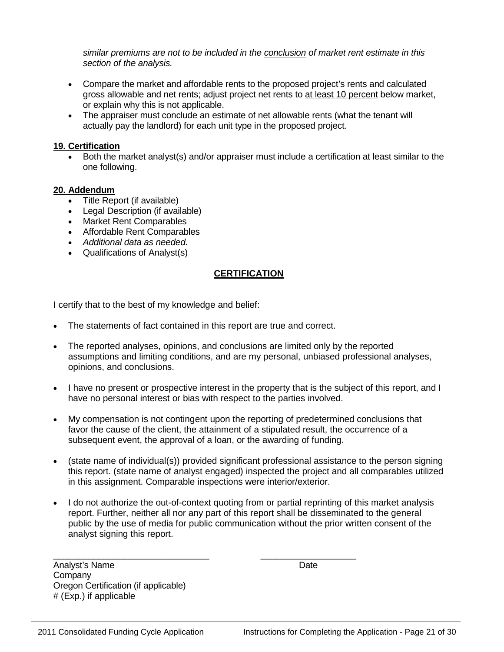*similar premiums are not to be included in the conclusion of market rent estimate in this section of the analysis.*

- Compare the market and affordable rents to the proposed project's rents and calculated gross allowable and net rents; adjust project net rents to at least 10 percent below market, or explain why this is not applicable.
- The appraiser must conclude an estimate of net allowable rents (what the tenant will actually pay the landlord) for each unit type in the proposed project.

### **19. Certification**

• Both the market analyst(s) and/or appraiser must include a certification at least similar to the one following.

### **20. Addendum**

- Title Report (if available)
- Legal Description (if available)
- Market Rent Comparables
- Affordable Rent Comparables
- *Additional data as needed.*
- Qualifications of Analyst(s)

### **CERTIFICATION**

I certify that to the best of my knowledge and belief:

- The statements of fact contained in this report are true and correct.
- The reported analyses, opinions, and conclusions are limited only by the reported assumptions and limiting conditions, and are my personal, unbiased professional analyses, opinions, and conclusions.
- I have no present or prospective interest in the property that is the subject of this report, and I have no personal interest or bias with respect to the parties involved.
- My compensation is not contingent upon the reporting of predetermined conclusions that favor the cause of the client, the attainment of a stipulated result, the occurrence of a subsequent event, the approval of a loan, or the awarding of funding.
- (state name of individual(s)) provided significant professional assistance to the person signing this report. (state name of analyst engaged) inspected the project and all comparables utilized in this assignment. Comparable inspections were interior/exterior.
- I do not authorize the out-of-context quoting from or partial reprinting of this market analysis report. Further, neither all nor any part of this report shall be disseminated to the general public by the use of media for public communication without the prior written consent of the analyst signing this report.

\_\_\_\_\_\_\_\_\_\_\_\_\_\_\_\_\_\_\_\_\_\_\_\_\_\_\_\_\_\_\_ \_\_\_\_\_\_\_\_\_\_\_\_\_\_\_\_\_\_\_ Analyst's Name Date **Company** Oregon Certification (if applicable) # (Exp.) if applicable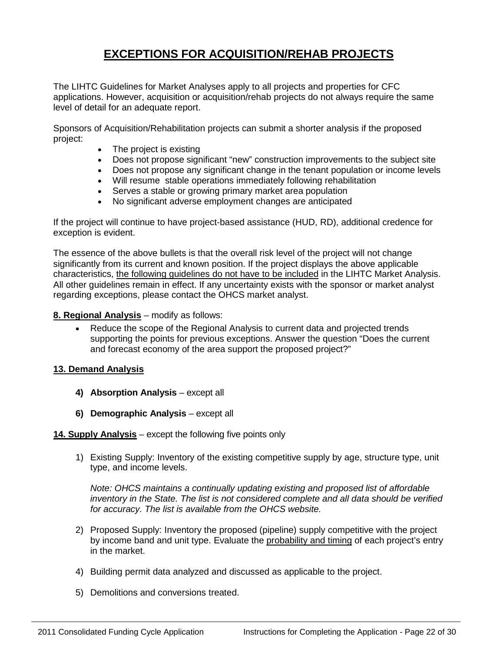# **EXCEPTIONS FOR ACQUISITION/REHAB PROJECTS**

The LIHTC Guidelines for Market Analyses apply to all projects and properties for CFC applications. However, acquisition or acquisition/rehab projects do not always require the same level of detail for an adequate report.

Sponsors of Acquisition/Rehabilitation projects can submit a shorter analysis if the proposed project:

- The project is existing
- Does not propose significant "new" construction improvements to the subject site
- Does not propose any significant change in the tenant population or income levels
- Will resume stable operations immediately following rehabilitation
- Serves a stable or growing primary market area population
- No significant adverse employment changes are anticipated

If the project will continue to have project-based assistance (HUD, RD), additional credence for exception is evident.

The essence of the above bullets is that the overall risk level of the project will not change significantly from its current and known position. If the project displays the above applicable characteristics, the following guidelines do not have to be included in the LIHTC Market Analysis. All other guidelines remain in effect. If any uncertainty exists with the sponsor or market analyst regarding exceptions, please contact the OHCS market analyst.

### **8. Regional Analysis** – modify as follows:

• Reduce the scope of the Regional Analysis to current data and projected trends supporting the points for previous exceptions. Answer the question "Does the current and forecast economy of the area support the proposed project?"

### **13. Demand Analysis**

- **4) Absorption Analysis** except all
- **6) Demographic Analysis** except all

**14. Supply Analysis** – except the following five points only

1) Existing Supply: Inventory of the existing competitive supply by age, structure type, unit type, and income levels.

*Note: OHCS maintains a continually updating existing and proposed list of affordable inventory in the State. The list is not considered complete and all data should be verified for accuracy. The list is available from the OHCS website.* 

- 2) Proposed Supply: Inventory the proposed (pipeline) supply competitive with the project by income band and unit type. Evaluate the probability and timing of each project's entry in the market.
- 4) Building permit data analyzed and discussed as applicable to the project.
- 5) Demolitions and conversions treated.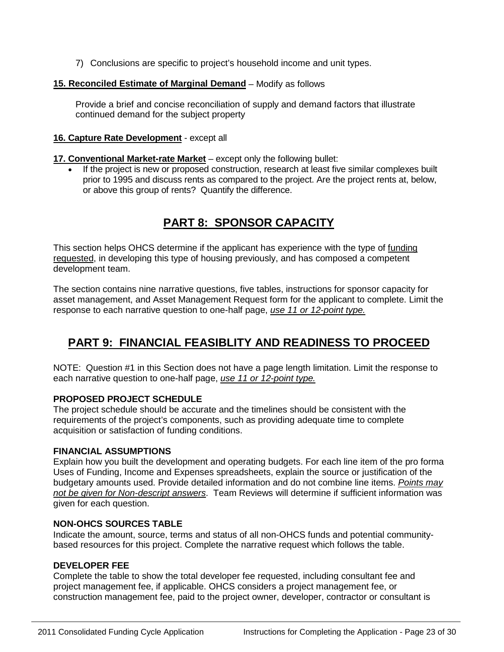7) Conclusions are specific to project's household income and unit types.

### **15. Reconciled Estimate of Marginal Demand** – Modify as follows

Provide a brief and concise reconciliation of supply and demand factors that illustrate continued demand for the subject property

### **16. Capture Rate Development** - except all

### **17. Conventional Market-rate Market** – except only the following bullet:

• If the project is new or proposed construction, research at least five similar complexes built prior to 1995 and discuss rents as compared to the project. Are the project rents at, below, or above this group of rents? Quantify the difference.

# **PART 8: SPONSOR CAPACITY**

This section helps OHCS determine if the applicant has experience with the type of funding requested, in developing this type of housing previously, and has composed a competent development team.

The section contains nine narrative questions, five tables, instructions for sponsor capacity for asset management, and Asset Management Request form for the applicant to complete. Limit the response to each narrative question to one-half page, *use 11 or 12-point type.*

# **PART 9: FINANCIAL FEASIBLITY AND READINESS TO PROCEED**

NOTE: Question #1 in this Section does not have a page length limitation. Limit the response to each narrative question to one-half page, *use 11 or 12-point type.*

### **PROPOSED PROJECT SCHEDULE**

The project schedule should be accurate and the timelines should be consistent with the requirements of the project's components, such as providing adequate time to complete acquisition or satisfaction of funding conditions.

### **FINANCIAL ASSUMPTIONS**

Explain how you built the development and operating budgets. For each line item of the pro forma Uses of Funding, Income and Expenses spreadsheets, explain the source or justification of the budgetary amounts used. Provide detailed information and do not combine line items. *Points may not be given for Non-descript answers*. Team Reviews will determine if sufficient information was given for each question.

### **NON-OHCS SOURCES TABLE**

Indicate the amount, source, terms and status of all non-OHCS funds and potential communitybased resources for this project. Complete the narrative request which follows the table.

### **DEVELOPER FEE**

Complete the table to show the total developer fee requested, including consultant fee and project management fee, if applicable. OHCS considers a project management fee, or construction management fee, paid to the project owner, developer, contractor or consultant is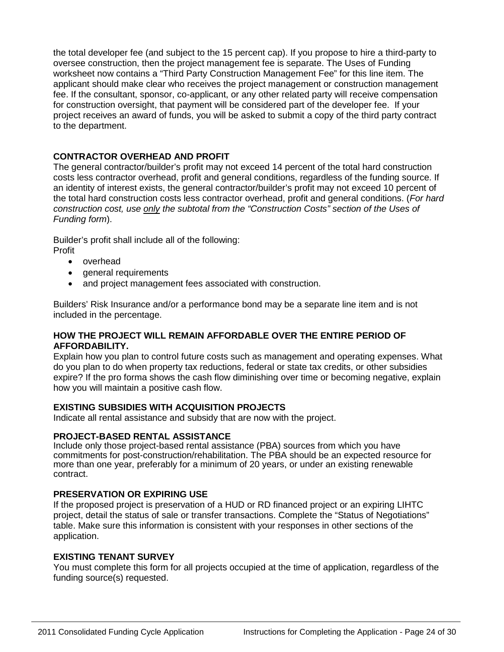the total developer fee (and subject to the 15 percent cap). If you propose to hire a third-party to oversee construction, then the project management fee is separate. The Uses of Funding worksheet now contains a "Third Party Construction Management Fee" for this line item. The applicant should make clear who receives the project management or construction management fee. If the consultant, sponsor, co-applicant, or any other related party will receive compensation for construction oversight, that payment will be considered part of the developer fee. If your project receives an award of funds, you will be asked to submit a copy of the third party contract to the department.

### **CONTRACTOR OVERHEAD AND PROFIT**

The general contractor/builder's profit may not exceed 14 percent of the total hard construction costs less contractor overhead, profit and general conditions, regardless of the funding source. If an identity of interest exists, the general contractor/builder's profit may not exceed 10 percent of the total hard construction costs less contractor overhead, profit and general conditions. (*For hard construction cost, use only the subtotal from the "Construction Costs" section of the Uses of Funding form*).

Builder's profit shall include all of the following: Profit

- overhead
- general requirements
- and project management fees associated with construction.

Builders' Risk Insurance and/or a performance bond may be a separate line item and is not included in the percentage.

#### **HOW THE PROJECT WILL REMAIN AFFORDABLE OVER THE ENTIRE PERIOD OF AFFORDABILITY.**

Explain how you plan to control future costs such as management and operating expenses. What do you plan to do when property tax reductions, federal or state tax credits, or other subsidies expire? If the pro forma shows the cash flow diminishing over time or becoming negative, explain how you will maintain a positive cash flow.

### **EXISTING SUBSIDIES WITH ACQUISITION PROJECTS**

Indicate all rental assistance and subsidy that are now with the project.

#### **PROJECT-BASED RENTAL ASSISTANCE**

Include only those project-based rental assistance (PBA) sources from which you have commitments for post-construction/rehabilitation. The PBA should be an expected resource for more than one year, preferably for a minimum of 20 years, or under an existing renewable contract.

#### **PRESERVATION OR EXPIRING USE**

If the proposed project is preservation of a HUD or RD financed project or an expiring LIHTC project, detail the status of sale or transfer transactions. Complete the "Status of Negotiations" table. Make sure this information is consistent with your responses in other sections of the application.

#### **EXISTING TENANT SURVEY**

You must complete this form for all projects occupied at the time of application, regardless of the funding source(s) requested.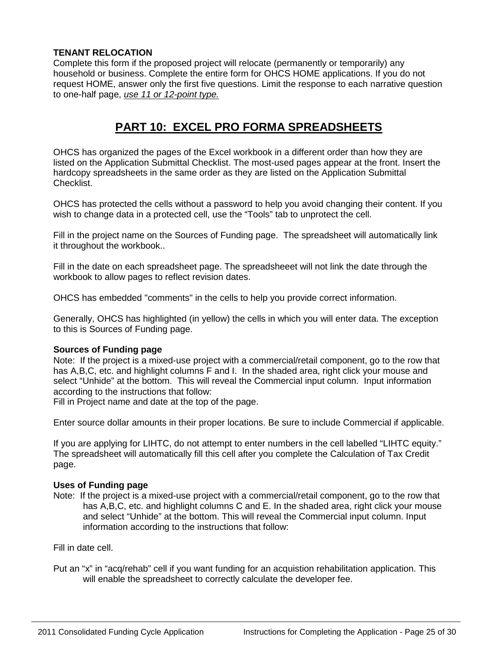### **TENANT RELOCATION**

Complete this form if the proposed project will relocate (permanently or temporarily) any household or business. Complete the entire form for OHCS HOME applications. If you do not request HOME, answer only the first five questions. Limit the response to each narrative question to one-half page, *use 11 or 12-point type.*

# **PART 10: EXCEL PRO FORMA SPREADSHEETS**

OHCS has organized the pages of the Excel workbook in a different order than how they are listed on the Application Submittal Checklist. The most-used pages appear at the front. Insert the hardcopy spreadsheets in the same order as they are listed on the Application Submittal Checklist.

OHCS has protected the cells without a password to help you avoid changing their content. If you wish to change data in a protected cell, use the "Tools" tab to unprotect the cell.

Fill in the project name on the Sources of Funding page. The spreadsheet will automatically link it throughout the workbook..

Fill in the date on each spreadsheet page. The spreadsheeet will not link the date through the workbook to allow pages to reflect revision dates.

OHCS has embedded "comments" in the cells to help you provide correct information.

Generally, OHCS has highlighted (in yellow) the cells in which you will enter data. The exception to this is Sources of Funding page.

### **Sources of Funding page**

Note: If the project is a mixed-use project with a commercial/retail component, go to the row that has A, B, C, etc. and highlight columns F and I. In the shaded area, right click your mouse and select "Unhide" at the bottom. This will reveal the Commercial input column. Input information according to the instructions that follow:

Fill in Project name and date at the top of the page.

Enter source dollar amounts in their proper locations. Be sure to include Commercial if applicable.

If you are applying for LIHTC, do not attempt to enter numbers in the cell labelled "LIHTC equity." The spreadsheet will automatically fill this cell after you complete the Calculation of Tax Credit page.

#### **Uses of Funding page**

Note: If the project is a mixed-use project with a commercial/retail component, go to the row that has A,B,C, etc. and highlight columns C and E. In the shaded area, right click your mouse and select "Unhide" at the bottom. This will reveal the Commercial input column. Input information according to the instructions that follow:

Fill in date cell.

Put an "x" in "acq/rehab" cell if you want funding for an acquistion rehabilitation application. This will enable the spreadsheet to correctly calculate the developer fee.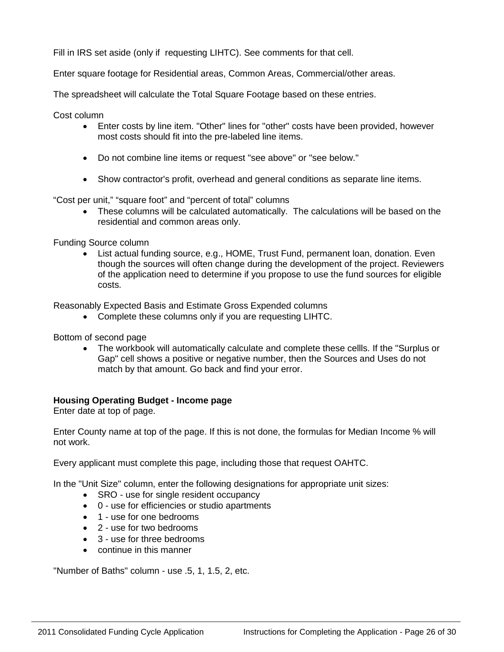Fill in IRS set aside (only if requesting LIHTC). See comments for that cell.

Enter square footage for Residential areas, Common Areas, Commercial/other areas.

The spreadsheet will calculate the Total Square Footage based on these entries.

Cost column

- Enter costs by line item. "Other" lines for "other" costs have been provided, however most costs should fit into the pre-labeled line items.
- Do not combine line items or request "see above" or "see below."
- Show contractor's profit, overhead and general conditions as separate line items.

"Cost per unit," "square foot" and "percent of total" columns

• These columns will be calculated automatically. The calculations will be based on the residential and common areas only.

Funding Source column

• List actual funding source, e.g., HOME, Trust Fund, permanent loan, donation. Even though the sources will often change during the development of the project. Reviewers of the application need to determine if you propose to use the fund sources for eligible costs.

Reasonably Expected Basis and Estimate Gross Expended columns

• Complete these columns only if you are requesting LIHTC.

Bottom of second page

• The workbook will automatically calculate and complete these cellls. If the "Surplus or Gap" cell shows a positive or negative number, then the Sources and Uses do not match by that amount. Go back and find your error.

#### **Housing Operating Budget - Income page**

Enter date at top of page.

Enter County name at top of the page. If this is not done, the formulas for Median Income % will not work.

Every applicant must complete this page, including those that request OAHTC.

In the "Unit Size" column, enter the following designations for appropriate unit sizes:

- SRO use for single resident occupancy
- 0 use for efficiencies or studio apartments
- 1 use for one bedrooms
- 2 use for two bedrooms
- 3 use for three bedrooms
- continue in this manner

"Number of Baths" column - use .5, 1, 1.5, 2, etc.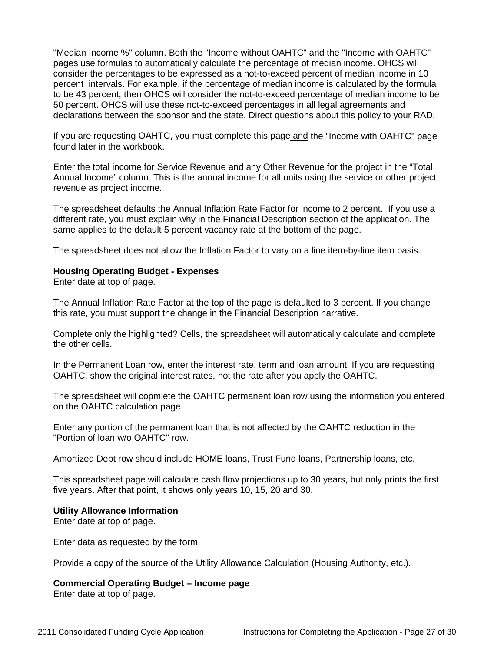"Median Income %" column. Both the "Income without OAHTC" and the "Income with OAHTC" pages use formulas to automatically calculate the percentage of median income. OHCS will consider the percentages to be expressed as a not-to-exceed percent of median income in 10 percent intervals. For example, if the percentage of median income is calculated by the formula to be 43 percent, then OHCS will consider the not-to-exceed percentage of median income to be 50 percent. OHCS will use these not-to-exceed percentages in all legal agreements and declarations between the sponsor and the state. Direct questions about this policy to your RAD.

If you are requesting OAHTC, you must complete this page and the "Income with OAHTC" page found later in the workbook.

Enter the total income for Service Revenue and any Other Revenue for the project in the "Total Annual Income" column. This is the annual income for all units using the service or other project revenue as project income.

The spreadsheet defaults the Annual Inflation Rate Factor for income to 2 percent. If you use a different rate, you must explain why in the Financial Description section of the application. The same applies to the default 5 percent vacancy rate at the bottom of the page.

The spreadsheet does not allow the Inflation Factor to vary on a line item-by-line item basis.

#### **Housing Operating Budget - Expenses**

Enter date at top of page.

The Annual Inflation Rate Factor at the top of the page is defaulted to 3 percent. If you change this rate, you must support the change in the Financial Description narrative.

Complete only the highlighted? Cells, the spreadsheet will automatically calculate and complete the other cells.

In the Permanent Loan row, enter the interest rate, term and loan amount. If you are requesting OAHTC, show the original interest rates, not the rate after you apply the OAHTC.

The spreadsheet will copmlete the OAHTC permanent loan row using the information you entered on the OAHTC calculation page.

Enter any portion of the permanent loan that is not affected by the OAHTC reduction in the "Portion of loan w/o OAHTC" row.

Amortized Debt row should include HOME loans, Trust Fund loans, Partnership loans, etc.

This spreadsheet page will calculate cash flow projections up to 30 years, but only prints the first five years. After that point, it shows only years 10, 15, 20 and 30.

#### **Utility Allowance Information**

Enter date at top of page.

Enter data as requested by the form.

Provide a copy of the source of the Utility Allowance Calculation (Housing Authority, etc.).

### **Commercial Operating Budget – Income page**

Enter date at top of page.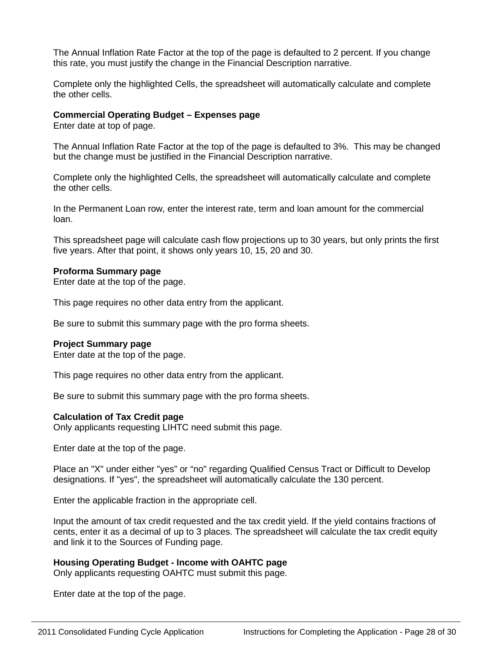The Annual Inflation Rate Factor at the top of the page is defaulted to 2 percent. If you change this rate, you must justify the change in the Financial Description narrative.

Complete only the highlighted Cells, the spreadsheet will automatically calculate and complete the other cells.

#### **Commercial Operating Budget – Expenses page**

Enter date at top of page.

The Annual Inflation Rate Factor at the top of the page is defaulted to 3%. This may be changed but the change must be justified in the Financial Description narrative.

Complete only the highlighted Cells, the spreadsheet will automatically calculate and complete the other cells.

In the Permanent Loan row, enter the interest rate, term and loan amount for the commercial loan.

This spreadsheet page will calculate cash flow projections up to 30 years, but only prints the first five years. After that point, it shows only years 10, 15, 20 and 30.

#### **Proforma Summary page**

Enter date at the top of the page.

This page requires no other data entry from the applicant.

Be sure to submit this summary page with the pro forma sheets.

#### **Project Summary page**

Enter date at the top of the page.

This page requires no other data entry from the applicant.

Be sure to submit this summary page with the pro forma sheets.

#### **Calculation of Tax Credit page**

Only applicants requesting LIHTC need submit this page.

Enter date at the top of the page.

Place an "X" under either "yes" or "no" regarding Qualified Census Tract or Difficult to Develop designations. If "yes", the spreadsheet will automatically calculate the 130 percent.

Enter the applicable fraction in the appropriate cell.

Input the amount of tax credit requested and the tax credit yield. If the yield contains fractions of cents, enter it as a decimal of up to 3 places. The spreadsheet will calculate the tax credit equity and link it to the Sources of Funding page.

### **Housing Operating Budget - Income with OAHTC page**

Only applicants requesting OAHTC must submit this page.

Enter date at the top of the page.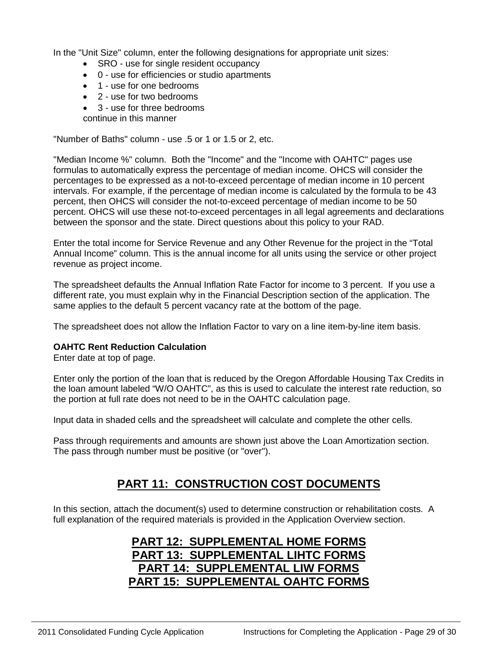In the "Unit Size" column, enter the following designations for appropriate unit sizes:

- SRO use for single resident occupancy
- 0 use for efficiencies or studio apartments
- 1 use for one bedrooms
- 2 use for two bedrooms
- 3 use for three bedrooms
- continue in this manner

"Number of Baths" column - use .5 or 1 or 1.5 or 2, etc.

"Median Income %" column. Both the "Income" and the "Income with OAHTC" pages use formulas to automatically express the percentage of median income. OHCS will consider the percentages to be expressed as a not-to-exceed percentage of median income in 10 percent intervals. For example, if the percentage of median income is calculated by the formula to be 43 percent, then OHCS will consider the not-to-exceed percentage of median income to be 50 percent. OHCS will use these not-to-exceed percentages in all legal agreements and declarations between the sponsor and the state. Direct questions about this policy to your RAD.

Enter the total income for Service Revenue and any Other Revenue for the project in the "Total Annual Income" column. This is the annual income for all units using the service or other project revenue as project income.

The spreadsheet defaults the Annual Inflation Rate Factor for income to 3 percent. If you use a different rate, you must explain why in the Financial Description section of the application. The same applies to the default 5 percent vacancy rate at the bottom of the page.

The spreadsheet does not allow the Inflation Factor to vary on a line item-by-line item basis.

#### **OAHTC Rent Reduction Calculation**

Enter date at top of page.

Enter only the portion of the loan that is reduced by the Oregon Affordable Housing Tax Credits in the loan amount labeled "W/O OAHTC", as this is used to calculate the interest rate reduction, so the portion at full rate does not need to be in the OAHTC calculation page.

Input data in shaded cells and the spreadsheet will calculate and complete the other cells.

Pass through requirements and amounts are shown just above the Loan Amortization section. The pass through number must be positive (or "over").

### **PART 11: CONSTRUCTION COST DOCUMENTS**

In this section, attach the document(s) used to determine construction or rehabilitation costs. A full explanation of the required materials is provided in the Application Overview section.

# **PART 12: SUPPLEMENTAL HOME FORMS PART 13: SUPPLEMENTAL LIHTC FORMS PART 14: SUPPLEMENTAL LIW FORMS PART 15: SUPPLEMENTAL OAHTC FORMS**